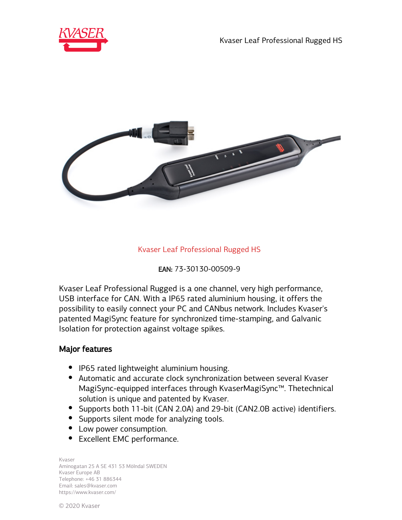



# Kvaser Leaf Professional Rugged HS

EAN: 73-30130-00509-9

Kvaser Leaf Professional Rugged is a one channel, very high performance, USB interface for CAN. With a IP65 rated aluminium housing, it offers the possibility to easily connect your PC and CANbus network. Includes Kvaser's patented MagiSync feature for synchronized time-stamping, and Galvanic Isolation for protection against voltage spikes.

#### Major features

- IP65 rated lightweight aluminium housing.
- Automatic and accurate clock synchronization between several Kvaser MagiSync-equipped interfaces through KvaserMagiSync™. Thetechnical solution is unique and patented by Kvaser.
- Supports both 11-bit (CAN 2.0A) and 29-bit (CAN2.0B active) identifiers.
- Supports silent mode for analyzing tools.
- Low power consumption.
- Excellent EMC performance.

Kvaser Aminogatan 25 A SE 431 53 Mölndal SWEDEN Kvaser Europe AB Telephone: +46 31 886344 Email: sales@kvaser.com https://www.kvaser.com/

© 2020 Kvaser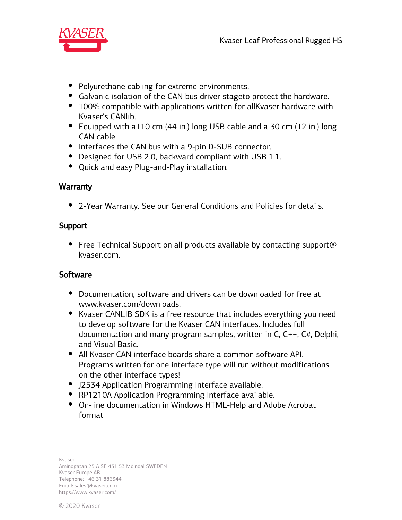

- Polyurethane cabling for extreme environments.
- Galvanic isolation of the CAN bus driver stageto protect the hardware.
- 100% compatible with applications written for all Kvaser hardware with Kvaser's CANlib.
- Equipped with a 110 cm (44 in.) long USB cable and a 30 cm (12 in.) long CAN cable.
- Interfaces the CAN bus with a 9-pin D-SUB connector.
- Designed for USB 2.0, backward compliant with USB 1.1.
- Quick and easy Plug-and-Play installation.

## **Warranty**

2-Year Warranty. See our General Conditions and Policies for details.

## Support

• Free Technical Support on all products available by contacting support@ kvaser.com.

## **Software**

- Documentation, software and drivers can be downloaded for free at www.kvaser.com/downloads.
- Kvaser CANLIB SDK is a free resource that includes everything you need to develop software for the Kvaser CAN interfaces. Includes full documentation and many program samples, written in C, C++, C#, Delphi, and Visual Basic.
- All Kvaser CAN interface boards share a common software API. Programs written for one interface type will run without modifications on the other interface types!
- J2534 Application Programming Interface available.
- RP1210A Application Programming Interface available.
- On-line documentation in Windows HTML-Help and Adobe Acrobat format

Kvaser Aminogatan 25 A SE 431 53 Mölndal SWEDEN Kvaser Europe AB Telephone: +46 31 886344 Email: sales@kvaser.com https://www.kvaser.com/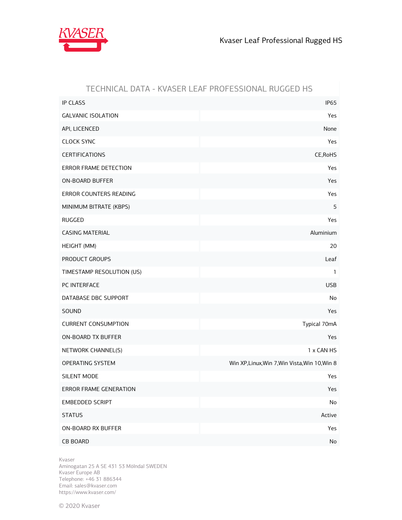

## TECHNICAL DATA - KVASER LEAF PROFESSIONAL RUGGED HS

| <b>IP CLASS</b>            | <b>IP65</b>                                    |
|----------------------------|------------------------------------------------|
| <b>GALVANIC ISOLATION</b>  | Yes                                            |
| API, LICENCED              | None                                           |
| <b>CLOCK SYNC</b>          | Yes                                            |
| <b>CERTIFICATIONS</b>      | CE, RoHS                                       |
| ERROR FRAME DETECTION      | Yes                                            |
| <b>ON-BOARD BUFFER</b>     | Yes                                            |
| ERROR COUNTERS READING     | Yes                                            |
| MINIMUM BITRATE (KBPS)     | 5                                              |
| <b>RUGGED</b>              | Yes                                            |
| <b>CASING MATERIAL</b>     | Aluminium                                      |
| HEIGHT (MM)                | 20                                             |
| PRODUCT GROUPS             | Leaf                                           |
| TIMESTAMP RESOLUTION (US)  | $\mathbf{1}$                                   |
| PC INTERFACE               | <b>USB</b>                                     |
| DATABASE DBC SUPPORT       | No                                             |
| SOUND                      | Yes                                            |
| <b>CURRENT CONSUMPTION</b> | Typical 70mA                                   |
| <b>ON-BOARD TX BUFFER</b>  | Yes                                            |
| NETWORK CHANNEL(S)         | 1 x CAN HS                                     |
| OPERATING SYSTEM           | Win XP, Linux, Win 7, Win Vista, Win 10, Win 8 |
| SILENT MODE                | Yes                                            |
| ERROR FRAME GENERATION     | Yes                                            |
| EMBEDDED SCRIPT            | No                                             |
| <b>STATUS</b>              | Active                                         |
| ON-BOARD RX BUFFER         | Yes                                            |
| <b>CB BOARD</b>            | No                                             |

Kvaser

Aminogatan 25 A SE 431 53 Mölndal SWEDEN Kvaser Europe AB Telephone: +46 31 886344 Email: sales@kvaser.com https://www.kvaser.com/